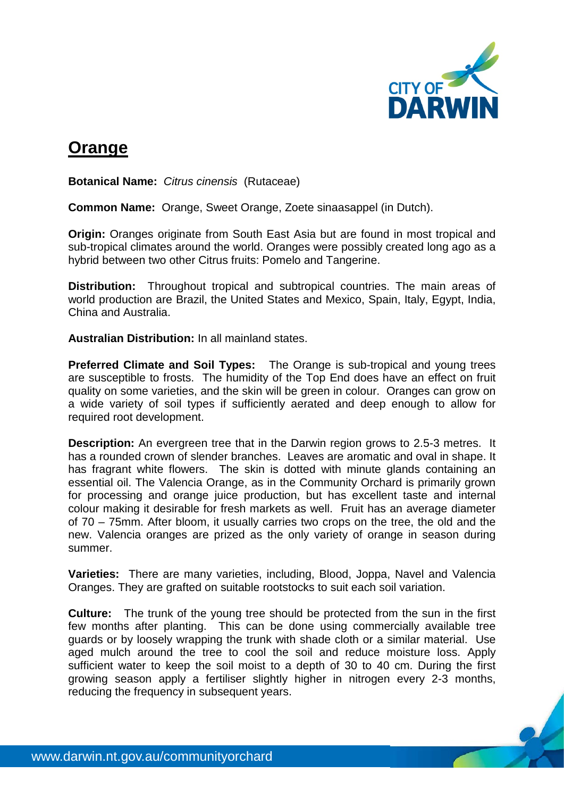

## **Orange**

**Botanical Name:** *Citrus cinensis*(Rutaceae)

**Common Name:** Orange, Sweet Orange, Zoete sinaasappel (in Dutch).

**Origin:** Oranges originate from South East Asia but are found in most tropical and sub-tropical climates around the world. Oranges were possibly created long ago as a hybrid between two other Citrus fruits: Pomelo and Tangerine.

**Distribution:** Throughout tropical and subtropical countries. The main areas of world production are Brazil, the United States and Mexico, Spain, Italy, Egypt, India, China and Australia.

**Australian Distribution:** In all mainland states.

**Preferred Climate and Soil Types:** The Orange is sub-tropical and young trees are susceptible to frosts. The humidity of the Top End does have an effect on fruit quality on some varieties, and the skin will be green in colour. Oranges can grow on a wide variety of soil types if sufficiently aerated and deep enough to allow for required root development.

**Description:** An evergreen tree that in the Darwin region grows to 2.5-3 metres. It has a rounded crown of slender branches. Leaves are aromatic and oval in shape. It has fragrant white flowers. The skin is dotted with minute glands containing an essential oil. The Valencia Orange, as in the Community Orchard is primarily grown for processing and orange juice production, but has excellent taste and internal colour making it desirable for fresh markets as well. Fruit has an average diameter of 70 – 75mm. After bloom, it usually carries two crops on the tree, the old and the new. Valencia oranges are prized as the only variety of orange in season during summer.

**Varieties:** There are many varieties, including, Blood, Joppa, Navel and Valencia Oranges. They are grafted on suitable rootstocks to suit each soil variation.

**Culture:** The trunk of the young tree should be protected from the sun in the first few months after planting. This can be done using commercially available tree guards or by loosely wrapping the trunk with shade cloth or a similar material. Use aged mulch around the tree to cool the soil and reduce moisture loss. Apply sufficient water to keep the soil moist to a depth of 30 to 40 cm. During the first growing season apply a fertiliser slightly higher in nitrogen every 2-3 months, reducing the frequency in subsequent years.